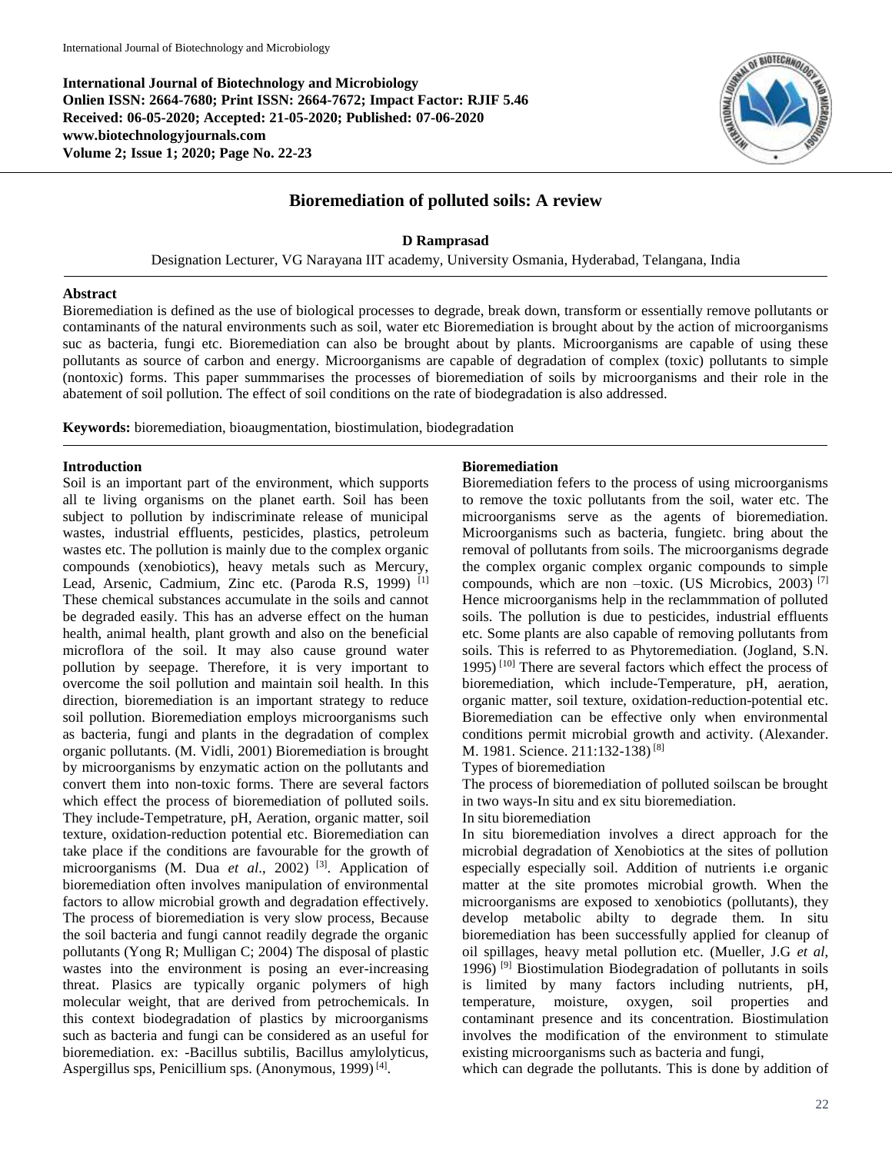**International Journal of Biotechnology and Microbiology Onlien ISSN: 2664-7680; Print ISSN: 2664-7672; Impact Factor: RJIF 5.46 Received: 06-05-2020; Accepted: 21-05-2020; Published: 07-06-2020 www.biotechnologyjournals.com Volume 2; Issue 1; 2020; Page No. 22-23**



# **Bioremediation of polluted soils: A review**

### **D Ramprasad**

Designation Lecturer, VG Narayana IIT academy, University Osmania, Hyderabad, Telangana, India

#### **Abstract**

Bioremediation is defined as the use of biological processes to degrade, break down, transform or essentially remove pollutants or contaminants of the natural environments such as soil, water etc Bioremediation is brought about by the action of microorganisms suc as bacteria, fungi etc. Bioremediation can also be brought about by plants. Microorganisms are capable of using these pollutants as source of carbon and energy. Microorganisms are capable of degradation of complex (toxic) pollutants to simple (nontoxic) forms. This paper summmarises the processes of bioremediation of soils by microorganisms and their role in the abatement of soil pollution. The effect of soil conditions on the rate of biodegradation is also addressed.

**Keywords:** bioremediation, bioaugmentation, biostimulation, biodegradation

### **Introduction**

Soil is an important part of the environment, which supports all te living organisms on the planet earth. Soil has been subject to pollution by indiscriminate release of municipal wastes, industrial effluents, pesticides, plastics, petroleum wastes etc. The pollution is mainly due to the complex organic compounds (xenobiotics), heavy metals such as Mercury, Lead, Arsenic, Cadmium, Zinc etc. (Paroda R.S, 1999)<sup>[1]</sup> These chemical substances accumulate in the soils and cannot be degraded easily. This has an adverse effect on the human health, animal health, plant growth and also on the beneficial microflora of the soil. It may also cause ground water pollution by seepage. Therefore, it is very important to overcome the soil pollution and maintain soil health. In this direction, bioremediation is an important strategy to reduce soil pollution. Bioremediation employs microorganisms such as bacteria, fungi and plants in the degradation of complex organic pollutants. (M. Vidli, 2001) Bioremediation is brought by microorganisms by enzymatic action on the pollutants and convert them into non-toxic forms. There are several factors which effect the process of bioremediation of polluted soils. They include-Tempetrature, pH, Aeration, organic matter, soil texture, oxidation-reduction potential etc. Bioremediation can take place if the conditions are favourable for the growth of microorganisms (M. Dua *et al*., 2002) [3] . Application of bioremediation often involves manipulation of environmental factors to allow microbial growth and degradation effectively. The process of bioremediation is very slow process, Because the soil bacteria and fungi cannot readily degrade the organic pollutants (Yong R; Mulligan C; 2004) The disposal of plastic wastes into the environment is posing an ever-increasing threat. Plasics are typically organic polymers of high molecular weight, that are derived from petrochemicals. In this context biodegradation of plastics by microorganisms such as bacteria and fungi can be considered as an useful for bioremediation. ex: -Bacillus subtilis, Bacillus amylolyticus, Aspergillus sps, Penicillium sps. (Anonymous, 1999)<sup>[4]</sup>.

#### **Bioremediation**

Bioremediation fefers to the process of using microorganisms to remove the toxic pollutants from the soil, water etc. The microorganisms serve as the agents of bioremediation. Microorganisms such as bacteria, fungietc. bring about the removal of pollutants from soils. The microorganisms degrade the complex organic complex organic compounds to simple compounds, which are non –toxic. (US Microbics, 2003) [7] Hence microorganisms help in the reclammmation of polluted soils. The pollution is due to pesticides, industrial effluents etc. Some plants are also capable of removing pollutants from soils. This is referred to as Phytoremediation. (Jogland, S.N. 1995) [10] There are several factors which effect the process of bioremediation, which include-Temperature, pH, aeration, organic matter, soil texture, oxidation-reduction-potential etc. Bioremediation can be effective only when environmental conditions permit microbial growth and activity. (Alexander. M. 1981. Science. 211:132-138) [8]

Types of bioremediation

The process of bioremediation of polluted soilscan be brought in two ways-In situ and ex situ bioremediation.

## In situ bioremediation

In situ bioremediation involves a direct approach for the microbial degradation of Xenobiotics at the sites of pollution especially especially soil. Addition of nutrients i.e organic matter at the site promotes microbial growth. When the microorganisms are exposed to xenobiotics (pollutants), they develop metabolic abilty to degrade them. In situ bioremediation has been successfully applied for cleanup of oil spillages, heavy metal pollution etc. (Mueller, J.G *et al*, 1996) [9] Biostimulation Biodegradation of pollutants in soils is limited by many factors including nutrients, pH, temperature, moisture, oxygen, soil properties and contaminant presence and its concentration. Biostimulation involves the modification of the environment to stimulate existing microorganisms such as bacteria and fungi,

which can degrade the pollutants. This is done by addition of